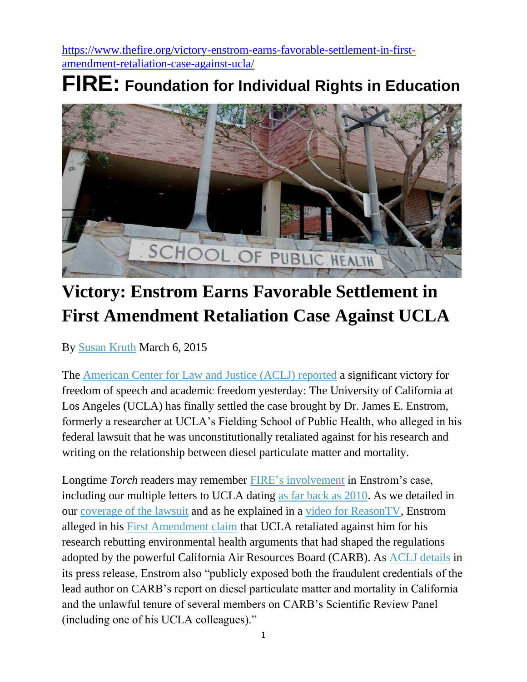[https://www.thefire.org/victory-enstrom-earns-favorable-settlement-in-first](https://www.thefire.org/victory-enstrom-earns-favorable-settlement-in-first-amendment-retaliation-case-against-ucla/)[amendment-retaliation-case-against-ucla/](https://www.thefire.org/victory-enstrom-earns-favorable-settlement-in-first-amendment-retaliation-case-against-ucla/)

## **FIRE: Foundation for Individual Rights in Education**



## **Victory: Enstrom Earns Favorable Settlement in First Amendment Retaliation Case Against UCLA**

By [Susan](https://www.thefire.org/author/skruth/) Kruth March 6, 2015

The [American](http://aclj.org/free-speech/a-resounding-victory-for-academic-freedom) Center for Law and Justice (ACLJ) reported a significant victory for freedom of speech and academic freedom yesterday: The University of California at Los Angeles (UCLA) has finally settled the case brought by Dr. James E. Enstrom, formerly a researcher at UCLA's Fielding School of Public Health, who alleged in his federal lawsuit that he was unconstitutionally retaliated against for his research and writing on the relationship between diesel particulate matter and mortality.

Longtime *Torch* readers may remember FIRE's [involvement](http://www.thefire.org/cases/university-of-california-at-los-angeles-non-reappointment-of-controversial-professor/) in Enstrom's case, including our multiple letters to UCLA dating as far back as [2010.](http://www.thefire.org/fire-letter-to-ucla-chancellor-gene-d-block-august-26-2010/) As we detailed in our [coverage](http://www.thefire.org/whistleblowing-scientist-who-challenged-environmental-regulation-sues-ucla-2/) of the lawsuit and as he explained in a video for [ReasonTV,](https://www.youtube.com/watch?v=t5J32_ba-y0) Enstrom alleged in his First [Amendment](http://www.thefire.org/pdfs/41bead8455fb5b5a0f7415a3b970a8a0.pdf) claim that UCLA retaliated against him for his research rebutting environmental health arguments that had shaped the regulations adopted by the powerful California Air Resources Board (CARB). As ACLJ [details](http://aclj.org/free-speech/a-resounding-victory-for-academic-freedom) in its press release, Enstrom also "publicly exposed both the fraudulent credentials of the lead author on CARB's report on diesel particulate matter and mortality in California and the unlawful tenure of several members on CARB's Scientific Review Panel (including one of his UCLA colleagues)."